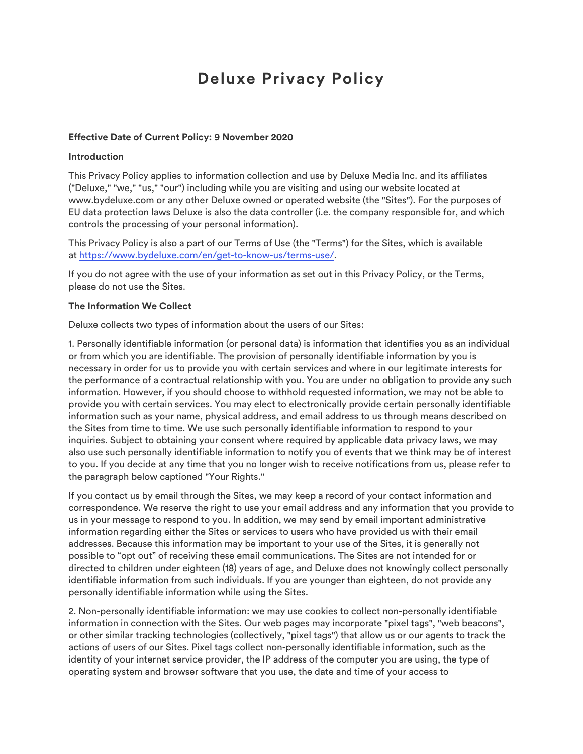# **Deluxe Privacy Policy**

#### **Effective Date of Current Policy: 9 November 2020**

#### **Introduction**

This Privacy Policy applies to information collection and use by Deluxe Media Inc. and its affiliates ("Deluxe," "we," "us," "our") including while you are visiting and using our website located at www.bydeluxe.com or any other Deluxe owned or operated website (the "Sites"). For the purposes of EU data protection laws Deluxe is also the data controller (i.e. the company responsible for, and which controls the processing of your personal information).

This Privacy Policy is also a part of our Terms of Use (the "Terms") for the Sites, which is available at https://www.bydeluxe.com/en/get-to-know-us/terms-use/.

If you do not agree with the use of your information as set out in this Privacy Policy, or the Terms, please do not use the Sites.

### **The Information We Collect**

Deluxe collects two types of information about the users of our Sites:

1. Personally identifiable information (or personal data) is information that identifies you as an individual or from which you are identifiable. The provision of personally identifiable information by you is necessary in order for us to provide you with certain services and where in our legitimate interests for the performance of a contractual relationship with you. You are under no obligation to provide any such information. However, if you should choose to withhold requested information, we may not be able to provide you with certain services. You may elect to electronically provide certain personally identifiable information such as your name, physical address, and email address to us through means described on the Sites from time to time. We use such personally identifiable information to respond to your inquiries. Subject to obtaining your consent where required by applicable data privacy laws, we may also use such personally identifiable information to notify you of events that we think may be of interest to you. If you decide at any time that you no longer wish to receive notifications from us, please refer to the paragraph below captioned "Your Rights."

If you contact us by email through the Sites, we may keep a record of your contact information and correspondence. We reserve the right to use your email address and any information that you provide to us in your message to respond to you. In addition, we may send by email important administrative information regarding either the Sites or services to users who have provided us with their email addresses. Because this information may be important to your use of the Sites, it is generally not possible to "opt out" of receiving these email communications. The Sites are not intended for or directed to children under eighteen (18) years of age, and Deluxe does not knowingly collect personally identifiable information from such individuals. If you are younger than eighteen, do not provide any personally identifiable information while using the Sites.

2. Non-personally identifiable information: we may use cookies to collect non-personally identifiable information in connection with the Sites. Our web pages may incorporate "pixel tags", "web beacons", or other similar tracking technologies (collectively, "pixel tags") that allow us or our agents to track the actions of users of our Sites. Pixel tags collect non-personally identifiable information, such as the identity of your internet service provider, the IP address of the computer you are using, the type of operating system and browser software that you use, the date and time of your access to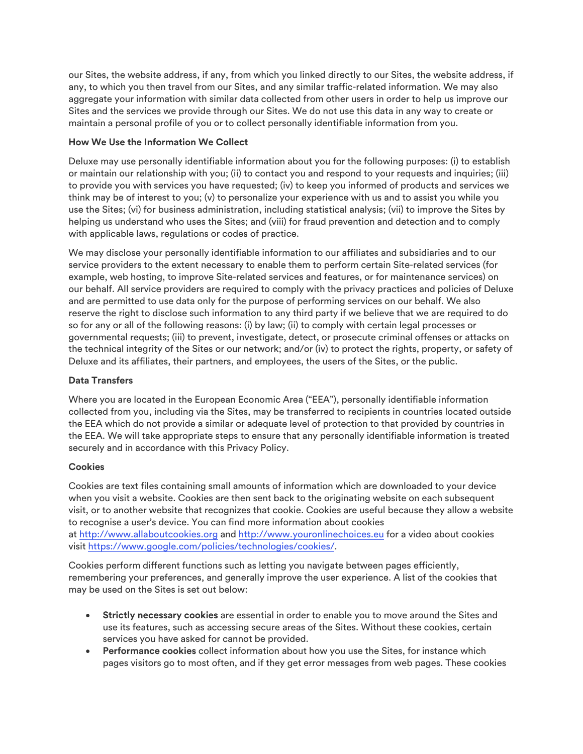our Sites, the website address, if any, from which you linked directly to our Sites, the website address, if any, to which you then travel from our Sites, and any similar traffic-related information. We may also aggregate your information with similar data collected from other users in order to help us improve our Sites and the services we provide through our Sites. We do not use this data in any way to create or maintain a personal profile of you or to collect personally identifiable information from you.

# **How We Use the Information We Collect**

Deluxe may use personally identifiable information about you for the following purposes: (i) to establish or maintain our relationship with you; (ii) to contact you and respond to your requests and inquiries; (iii) to provide you with services you have requested; (iv) to keep you informed of products and services we think may be of interest to you; (v) to personalize your experience with us and to assist you while you use the Sites; (vi) for business administration, including statistical analysis; (vii) to improve the Sites by helping us understand who uses the Sites; and (viii) for fraud prevention and detection and to comply with applicable laws, regulations or codes of practice.

We may disclose your personally identifiable information to our affiliates and subsidiaries and to our service providers to the extent necessary to enable them to perform certain Site-related services (for example, web hosting, to improve Site-related services and features, or for maintenance services) on our behalf. All service providers are required to comply with the privacy practices and policies of Deluxe and are permitted to use data only for the purpose of performing services on our behalf. We also reserve the right to disclose such information to any third party if we believe that we are required to do so for any or all of the following reasons: (i) by law; (ii) to comply with certain legal processes or governmental requests; (iii) to prevent, investigate, detect, or prosecute criminal offenses or attacks on the technical integrity of the Sites or our network; and/or (iv) to protect the rights, property, or safety of Deluxe and its affiliates, their partners, and employees, the users of the Sites, or the public.

# **Data Transfers**

Where you are located in the European Economic Area ("EEA"), personally identifiable information collected from you, including via the Sites, may be transferred to recipients in countries located outside the EEA which do not provide a similar or adequate level of protection to that provided by countries in the EEA. We will take appropriate steps to ensure that any personally identifiable information is treated securely and in accordance with this Privacy Policy.

# **Cookies**

Cookies are text files containing small amounts of information which are downloaded to your device when you visit a website. Cookies are then sent back to the originating website on each subsequent visit, or to another website that recognizes that cookie. Cookies are useful because they allow a website to recognise a user's device. You can find more information about cookies at http://www.allaboutcookies.org and http://www.youronlinechoices.eu for a video about cookies visit https://www.google.com/policies/technologies/cookies/.

Cookies perform different functions such as letting you navigate between pages efficiently, remembering your preferences, and generally improve the user experience. A list of the cookies that may be used on the Sites is set out below:

- **Strictly necessary cookies** are essential in order to enable you to move around the Sites and use its features, such as accessing secure areas of the Sites. Without these cookies, certain services you have asked for cannot be provided.
- **Performance cookies** collect information about how you use the Sites, for instance which pages visitors go to most often, and if they get error messages from web pages. These cookies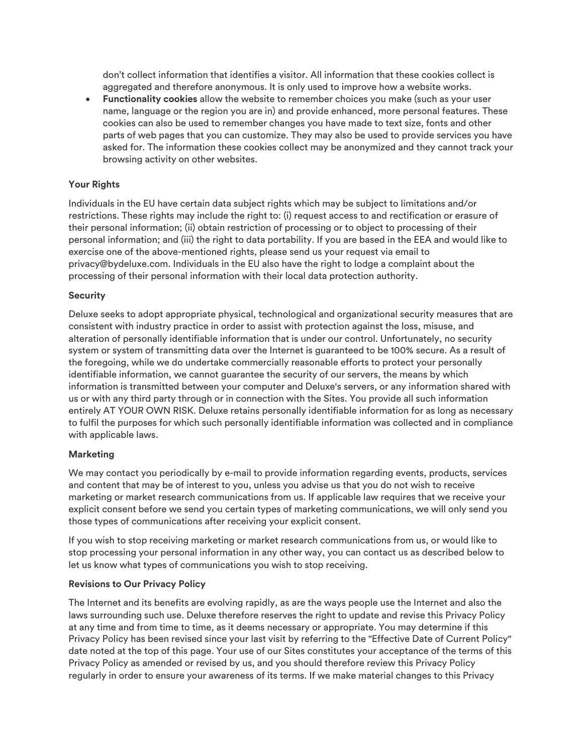don't collect information that identifies a visitor. All information that these cookies collect is aggregated and therefore anonymous. It is only used to improve how a website works.

• **Functionality cookies** allow the website to remember choices you make (such as your user name, language or the region you are in) and provide enhanced, more personal features. These cookies can also be used to remember changes you have made to text size, fonts and other parts of web pages that you can customize. They may also be used to provide services you have asked for. The information these cookies collect may be anonymized and they cannot track your browsing activity on other websites.

# **Your Rights**

Individuals in the EU have certain data subject rights which may be subject to limitations and/or restrictions. These rights may include the right to: (i) request access to and rectification or erasure of their personal information; (ii) obtain restriction of processing or to object to processing of their personal information; and (iii) the right to data portability. If you are based in the EEA and would like to exercise one of the above-mentioned rights, please send us your request via email to privacy@bydeluxe.com. Individuals in the EU also have the right to lodge a complaint about the processing of their personal information with their local data protection authority.

# **Security**

Deluxe seeks to adopt appropriate physical, technological and organizational security measures that are consistent with industry practice in order to assist with protection against the loss, misuse, and alteration of personally identifiable information that is under our control. Unfortunately, no security system or system of transmitting data over the Internet is guaranteed to be 100% secure. As a result of the foregoing, while we do undertake commercially reasonable efforts to protect your personally identifiable information, we cannot guarantee the security of our servers, the means by which information is transmitted between your computer and Deluxe's servers, or any information shared with us or with any third party through or in connection with the Sites. You provide all such information entirely AT YOUR OWN RISK. Deluxe retains personally identifiable information for as long as necessary to fulfil the purposes for which such personally identifiable information was collected and in compliance with applicable laws.

# **Marketing**

We may contact you periodically by e-mail to provide information regarding events, products, services and content that may be of interest to you, unless you advise us that you do not wish to receive marketing or market research communications from us. If applicable law requires that we receive your explicit consent before we send you certain types of marketing communications, we will only send you those types of communications after receiving your explicit consent.

If you wish to stop receiving marketing or market research communications from us, or would like to stop processing your personal information in any other way, you can contact us as described below to let us know what types of communications you wish to stop receiving.

# **Revisions to Our Privacy Policy**

The Internet and its benefits are evolving rapidly, as are the ways people use the Internet and also the laws surrounding such use. Deluxe therefore reserves the right to update and revise this Privacy Policy at any time and from time to time, as it deems necessary or appropriate. You may determine if this Privacy Policy has been revised since your last visit by referring to the "Effective Date of Current Policy" date noted at the top of this page. Your use of our Sites constitutes your acceptance of the terms of this Privacy Policy as amended or revised by us, and you should therefore review this Privacy Policy regularly in order to ensure your awareness of its terms. If we make material changes to this Privacy